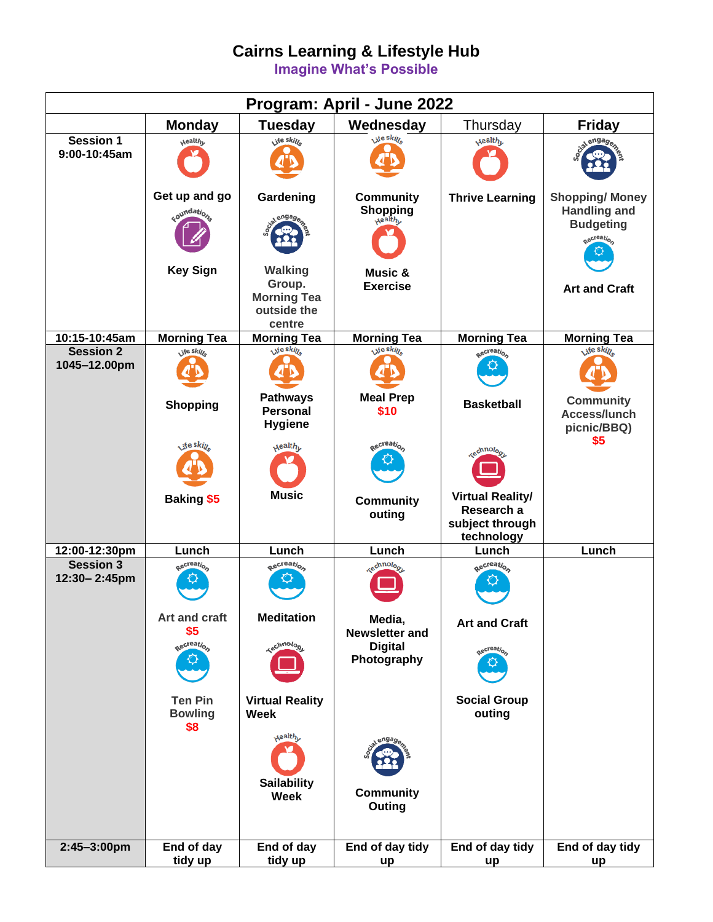# **Cairns Learning & Lifestyle Hub**

**Imagine What's Possible**

| Program: April - June 2022       |                                         |                                                                         |                                         |                                                                        |                                                                               |
|----------------------------------|-----------------------------------------|-------------------------------------------------------------------------|-----------------------------------------|------------------------------------------------------------------------|-------------------------------------------------------------------------------|
|                                  | <b>Monday</b>                           | <b>Tuesday</b>                                                          | Wednesday                               | Thursday                                                               | <b>Friday</b>                                                                 |
| Session 1<br>9:00-10:45am        | <b>Nealth</b>                           | jie skille                                                              | ite sking                               | <b>Health</b>                                                          | engao                                                                         |
|                                  | Get up and go<br>soundation.            | Gardening                                                               | <b>Community</b><br>Shopping<br>Nealthy | <b>Thrive Learning</b>                                                 | <b>Shopping/Money</b><br><b>Handling and</b><br><b>Budgeting</b><br>aecreatio |
|                                  | <b>Key Sign</b>                         | <b>Walking</b><br>Group.<br><b>Morning Tea</b><br>outside the<br>centre | Music &<br><b>Exercise</b>              |                                                                        | <b>Art and Craft</b>                                                          |
| 10:15-10:45am                    | <b>Morning Tea</b>                      | <b>Morning Tea</b>                                                      | <b>Morning Tea</b>                      | <b>Morning Tea</b>                                                     | <b>Morning Tea</b>                                                            |
| <b>Session 2</b><br>1045-12.00pm | jfe skille                              | <b>A</b> te sking                                                       | ste skin                                | Recreation                                                             | Life skille                                                                   |
|                                  | <b>Shopping</b><br>ste skin             | <b>Pathways</b><br><b>Personal</b><br><b>Hygiene</b>                    | <b>Meal Prep</b><br>\$10<br>aecreatio   | <b>Basketball</b>                                                      | <b>Community</b><br>Access/lunch<br>picnic/BBQ)<br>\$5                        |
|                                  |                                         | <b><i><u>Aealth<sub>L</sub></u></i></b>                                 |                                         | <b>sechnolog</b>                                                       |                                                                               |
|                                  | <b>Baking \$5</b>                       | <b>Music</b>                                                            | <b>Community</b><br>outing              | <b>Virtual Reality/</b><br>Research a<br>subject through<br>technology |                                                                               |
| 12:00-12:30pm                    | Lunch                                   | Lunch                                                                   | Lunch                                   | Lunch                                                                  | Lunch                                                                         |
| <b>Session 3</b><br>12:30-2:45pm | aecreation                              | <b>Recreation</b>                                                       | <b>sechnology</b>                       | aecreation                                                             |                                                                               |
|                                  | Art and craft<br>\$5                    | <b>Meditation</b>                                                       | Media,<br><b>Newsletter and</b>         | <b>Art and Craft</b>                                                   |                                                                               |
|                                  | Recreation                              | <b>Kechnolog</b>                                                        | <b>Digital</b><br>Photography           | aecreation                                                             |                                                                               |
|                                  | <b>Ten Pin</b><br><b>Bowling</b><br>\$8 | <b>Virtual Reality</b><br>Week                                          |                                         | <b>Social Group</b><br>outing                                          |                                                                               |
|                                  |                                         | $x$ ealt $h_{\nu}$                                                      | engag                                   |                                                                        |                                                                               |
|                                  |                                         | <b>Sailability</b><br><b>Week</b>                                       | <b>Community</b><br>Outing              |                                                                        |                                                                               |
| 2:45-3:00pm                      | End of day<br>tidy up                   | End of day<br>tidy up                                                   | End of day tidy<br>up                   | End of day tidy<br>up                                                  | End of day tidy<br>up                                                         |